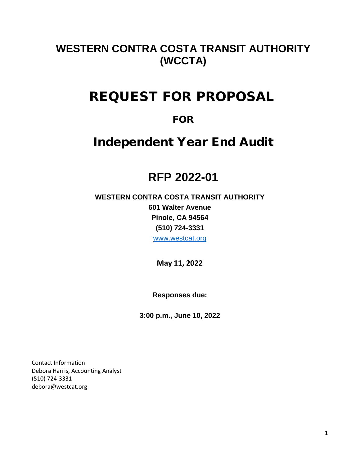# **WESTERN CONTRA COSTA TRANSIT AUTHORITY (WCCTA)**

# REQUEST FOR PROPOSAL

# FOR

# Independent Year End Audit

# **RFP 2022-01**

# **WESTERN CONTRA COSTA TRANSIT AUTHORITY 601 Walter Avenue Pinole, CA 94564 (510) 724-3331** [www.westcat.org](http://www.westcat.org/)

**May 11, 2022**

**Responses due:**

**3:00 p.m., June 10, 2022**

Contact Information Debora Harris, Accounting Analyst (510) 724-3331 debora@westcat.org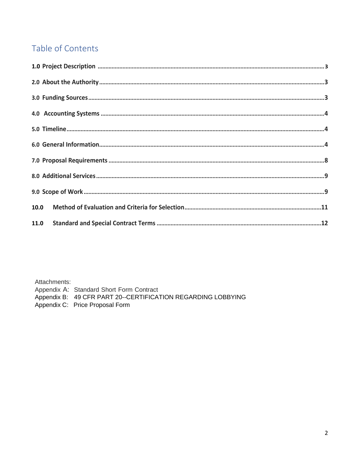# Table of Contents

Attachments:

Appendix A: Standard Short Form Contract

Appendix B: 49 CFR PART 20--CERTIFICATION REGARDING LOBBYING

Appendix C: Price Proposal Form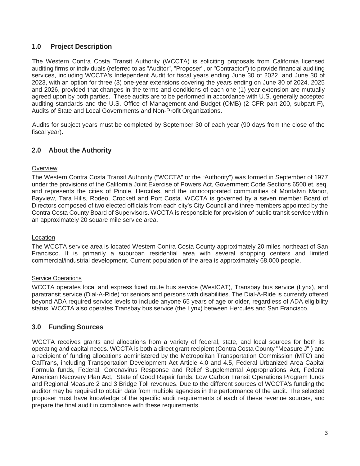# **1.0 Project Description**

The Western Contra Costa Transit Authority (WCCTA) is soliciting proposals from California licensed auditing firms or individuals (referred to as "Auditor", "Proposer'', or "Contractor'') to provide financial auditing services, including WCCTA's Independent Audit for fiscal years ending June 30 of 2022, and June 30 of 2023, with an option for three (3) one-year extensions covering the years ending on June 30 of 2024, 2025 and 2026, provided that changes in the terms and conditions of each one (1) year extension are mutually agreed upon by both parties. These audits are to be performed in accordance with U.S. generally accepted auditing standards and the U.S. Office of Management and Budget (OMB) (2 CFR part 200, subpart F), Audits of State and Local Governments and Non-Profit Organizations.

Audits for subject years must be completed by September 30 of each year (90 days from the close of the fiscal year).

# **2.0 About the Authority**

## **Overview**

The Western Contra Costa Transit Authority ("WCCTA" or the "Authority") was formed in September of 1977 under the provisions of the California Joint Exercise of Powers Act, Government Code Sections 6500 et. seq. and represents the cities of Pinole, Hercules, and the unincorporated communities of Montalvin Manor, Bayview, Tara Hills, Rodeo, Crockett and Port Costa. WCCTA is governed by a seven member Board of Directors composed of two elected officials from each city's City Council and three members appointed by the Contra Costa County Board of Supervisors. WCCTA is responsible for provision of public transit service within an approximately 20 square mile service area.

## Location

The WCCTA service area is located Western Contra Costa County approximately 20 miles northeast of San Francisco. It is primarily a suburban residential area with several shopping centers and limited commercial/industrial development. Current population of the area is approximately 68,000 people.

## Service Operations

WCCTA operates local and express fixed route bus service (WestCAT), Transbay bus service (Lynx), and paratransit service (Dial-A-Ride) for seniors and persons with disabilities. The Dial-A-Ride is currently offered beyond ADA required service levels to include anyone 65 years of age or older, regardless of ADA eligibility status. WCCTA also operates Transbay bus service (the Lynx) between Hercules and San Francisco.

# **3.0 Funding Sources**

WCCTA receives grants and allocations from a variety of federal, state, and local sources for both its operating and capital needs. WCCTA is both a direct grant recipient (Contra Costa County "Measure J",) and a recipient of funding allocations administered by the Metropolitan Transportation Commission (MTC) and CalTrans, including Transportation Development Act Article 4.0 and 4.5, Federal Urbanized Area Capital Formula funds, Federal, Coronavirus Response and Relief Supplemental Appropriations Act, Federal American Recovery Plan Act, State of Good Repair funds, Low Carbon Transit Operations Program funds and Regional Measure 2 and 3 Bridge Toll revenues. Due to the different sources of WCCTA's funding the auditor may be required to obtain data from multiple agencies in the performance of the audit. The selected proposer must have knowledge of the specific audit requirements of each of these revenue sources, and prepare the final audit in compliance with these requirements.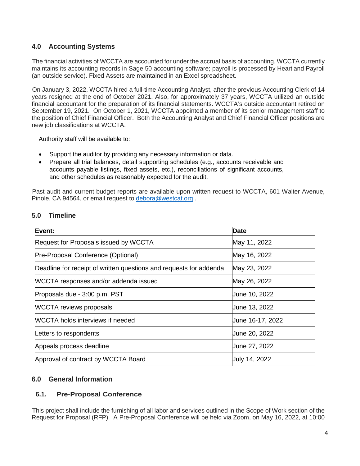# **4.0 Accounting Systems**

The financial activities of WCCTA are accounted for under the accrual basis of accounting. WCCTA currently maintains its accounting records in Sage 50 accounting software; payroll is processed by Heartland Payroll (an outside service). Fixed Assets are maintained in an Excel spreadsheet.

On January 3, 2022, WCCTA hired a full-time Accounting Analyst, after the previous Accounting Clerk of 14 years resigned at the end of October 2021. Also, for approximately 37 years, WCCTA utilized an outside financial accountant for the preparation of its financial statements. WCCTA's outside accountant retired on September 19, 2021. On October 1, 2021, WCCTA appointed a member of its senior management staff to the position of Chief Financial Officer. Both the Accounting Analyst and Chief Financial Officer positions are new job classifications at WCCTA.

Authority staff will be available to:

- Support the auditor by providing any necessary information or data.
- Prepare all trial balances, detail supporting schedules (e.g., accounts receivable and accounts payable listings, fixed assets, etc.), reconciliations of significant accounts, and other schedules as reasonably expected for the audit.

Past audit and current budget reports are available upon written request to WCCTA, 601 Walter Avenue, Pinole, CA 94564, or email request to [debora@westcat.org](mailto:debora@westcat.org) .

| Event:                                                             | <b>Date</b>          |
|--------------------------------------------------------------------|----------------------|
| Request for Proposals issued by WCCTA                              | May 11, 2022         |
| Pre-Proposal Conference (Optional)                                 | May 16, 2022         |
| Deadline for receipt of written questions and requests for addenda | May 23, 2022         |
| WCCTA responses and/or addenda issued                              | May 26, 2022         |
| Proposals due - 3:00 p.m. PST                                      | June 10, 2022        |
| <b>WCCTA reviews proposals</b>                                     | June 13, 2022        |
| <b>WCCTA holds interviews if needed</b>                            | Uune 16-17, 2022     |
| Letters to respondents                                             | June 20, 2022        |
| Appeals process deadline                                           | June 27, 2022        |
| Approval of contract by WCCTA Board                                | <b>July 14, 2022</b> |

# **5.0 Timeline**

# **6.0 General Information**

## **6.1. Pre-Proposal Conference**

This project shall include the furnishing of all labor and services outlined in the Scope of Work section of the Request for Proposal (RFP). A Pre-Proposal Conference will be held via Zoom, on May 16, 2022, at 10:00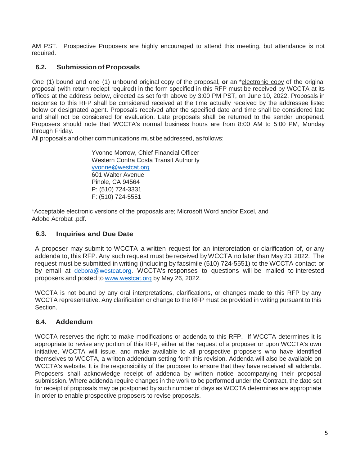AM PST. Prospective Proposers are highly encouraged to attend this meeting, but attendance is not required.

# **6.2. Submissionof Proposals**

One (1) bound and one (1) unbound original copy of the proposal, **or** an \*electronic copy of the original proposal (with return reciept required) in the form specified in this RFP must be received by WCCTA at its offices at the address below, directed as set forth above by 3:00 PM PST, on June 10, 2022. Proposals in response to this RFP shall be considered received at the time actually received by the addressee listed below or designated agent. Proposals received after the specified date and time shall be considered late and shall not be considered for evaluation. Late proposals shall be returned to the sender unopened. Proposers should note that WCCTA's normal business hours are from 8:00 AM to 5:00 PM, Monday through Friday.

All proposals and other communications must be addressed, as follows:

Yvonne Morrow, Chief Financial Officer Western Contra Costa Transit Authority [yvonne@westcat.org](mailto:yvonne@westcat.org)  601 Walter Avenue Pinole, CA 94564 P: (510) 724-3331 F: (510) 724-5551

\*Acceptable electronic versions of the proposals are; Microsoft Word and/or Excel, and Adobe Acrobat .pdf.

# **6.3. Inquiries and Due Date**

A proposer may submit to WCCTA a written request for an interpretation or clarification of, or any addenda to, this RFP. Any such request must be received by WCCTA no later than May 23, 2022. The request must be submitted in writing (including by facsimile (510) 724-5551) to the WCCTA contact or by email at [debora@westcat.org.](mailto:debora@westcat.org) WCCTA's responses to questions will be mailed to interested proposers and posted to [www.westcat.org](http://www.westcat.org/) by May 26, 2022.

WCCTA is not bound by any oral interpretations, clarifications, or changes made to this RFP by any WCCTA representative. Any clarification or change to the RFP must be provided in writing pursuant to this Section.

## **6.4. Addendum**

WCCTA reserves the right to make modifications or addenda to this RFP. If WCCTA determines it is appropriate to revise any portion of this RFP, either at the request of a proposer or upon WCCTA's own initiative, WCCTA will issue, and make available to all prospective proposers who have identified themselves to WCCTA, a written addendum setting forth this revision. Addenda will also be available on WCCTA's website. It is the responsibility of the proposer to ensure that they have received all addenda. Proposers shall acknowledge receipt of addenda by written notice accompanying their proposal submission. Where addenda require changes in the work to be performed under the Contract, the date set for receipt of proposals may be postponed by such number of days as WCCTA determines are appropriate in order to enable prospective proposers to revise proposals.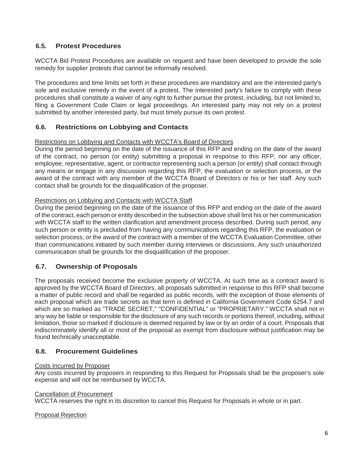# **6.5. Protest Procedures**

WCCTA Bid Protest Procedures are available on request and have been developed to provide the sole remedy for supplier protests that cannot be informally resolved.

The procedures and time limits set forth in these procedures are mandatory and are the interested party's sole and exclusive remedy in the event of a protest. The interested party's failure to comply with these procedures shall constitute a waiver of any right to further pursue the protest, including, but not limited to, filing a Government Code Claim or legal proceedings. An interested party may not rely on a protest submitted by another interested party, but must timely pursue its own protest.

# **6.6. Restrictions on Lobbying and Contacts**

## Restrictions on Lobbying and Contacts with WCCTA's Board of Directors

During the period beginning on the date of the issuance of this RFP and ending on the date of the award of the contract, no person (or entity) submitting a proposal in response to this RFP, nor any officer, employee, representative, agent, or contractor representing such a person (or entity) shall contact through any means or engage in any discussion regarding this RFP, the evaluation or selection process, or the award of the contract with any member of the WCCTA Board of Directors or his or her staff. Any such contact shall be grounds for the disqualification of the proposer.

## Restrictions on Lobbying and Contacts with WCCTA Staff

During the period beginning on the date of the issuance of this RFP and ending on the date of the award of the contract, each person or entity described in the subsection above shall limit his or her communication with WCCTA staff to the written clarification and amendment process described. During such period, any such person or entity is precluded from having any communications regarding this RFP, the evaluation or selection process, or the award of the contract with a member of the WCCTA Evaluation Committee, other than communications initiated by such member during interviews or discussions. Any such unauthorized communication shall be grounds for the disqualification of the proposer.

# **6.7. Ownership of Proposals**

The proposals received become the exclusive property of WCCTA. At such time as a contract award is approved by the WCCTA Board of Directors, all proposals submitted in response to this RFP shall become a matter of public record and shall be regarded as public records, with the exception of those elements of each proposal which are trade secrets as that term is defined in California Government Code 6254.7 and which are so marked as "TRADE SECRET," "CONFIDENTIAL" or "PROPRIETARY." WCCTA shall not in any way be liable or responsible for the disclosure of any such records or portions thereof, including, without limitation, those so marked if disclosure is deemed required by law or by an order of a court. Proposals that indiscriminately identify all or most of the proposal as exempt from disclosure without justification may be found technically unacceptable.

## **6.8. Procurement Guidelines**

## Costs Incurred by Proposer

Any costs incurred by proposers in responding to this Request for Proposals shall be the proposer's sole expense and will not be reimbursed by WCCTA.

### Cancellation of Procurement

WCCTA reserves the right in its discretion to cancel this Request for Proposals in whole or in part.

### Proposal Rejection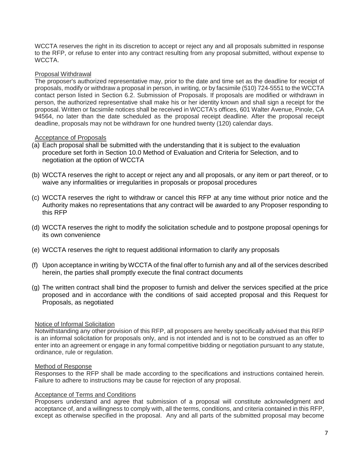WCCTA reserves the right in its discretion to accept or reject any and all proposals submitted in response to the RFP, or refuse to enter into any contract resulting from any proposal submitted, without expense to WCCTA.

## Proposal Withdrawal

The proposer's authorized representative may, prior to the date and time set as the deadline for receipt of proposals, modify or withdraw a proposal in person, in writing, or by facsimile (510) 724-5551 to the WCCTA contact person listed in Section 6.2. Submission of Proposals. If proposals are modified or withdrawn in person, the authorized representative shall make his or her identity known and shall sign a receipt for the proposal. Written or facsimile notices shall be received in WCCTA's offices, 601 Walter Avenue, Pinole, CA 94564, no later than the date scheduled as the proposal receipt deadline. After the proposal receipt deadline, proposals may not be withdrawn for one hundred twenty (120) calendar days.

### Acceptance of Proposals

- (a) Each proposal shall be submitted with the understanding that it is subject to the evaluation procedure set forth in Section 10.0 Method of Evaluation and Criteria for Selection, and to negotiation at the option of WCCTA
- (b) WCCTA reserves the right to accept or reject any and all proposals, or any item or part thereof, or to waive any informalities or irregularities in proposals or proposal procedures
- (c) WCCTA reserves the right to withdraw or cancel this RFP at any time without prior notice and the Authority makes no representations that any contract will be awarded to any Proposer responding to this RFP
- (d) WCCTA reserves the right to modify the solicitation schedule and to postpone proposal openings for its own convenience
- (e) WCCTA reserves the right to request additional information to clarify any proposals
- (f) Upon acceptance in writing by WCCTA of the final offer to furnish any and all of the services described herein, the parties shall promptly execute the final contract documents
- (g) The written contract shall bind the proposer to furnish and deliver the services specified at the price proposed and in accordance with the conditions of said accepted proposal and this Request for Proposals, as negotiated

### Notice of Informal Solicitation

Notwithstanding any other provision of this RFP, all proposers are hereby specifically advised that this RFP is an informal solicitation for proposals only, and is not intended and is not to be construed as an offer to enter into an agreement or engage in any formal competitive bidding or negotiation pursuant to any statute, ordinance, rule or regulation.

### Method of Response

Responses to the RFP shall be made according to the specifications and instructions contained herein. Failure to adhere to instructions may be cause for rejection of any proposal.

### **Acceptance of Terms and Conditions**

Proposers understand and agree that submission of a proposal will constitute acknowledgment and acceptance of, and a willingness to comply with, all the terms, conditions, and criteria contained in this RFP, except as otherwise specified in the proposal. Any and all parts of the submitted proposal may become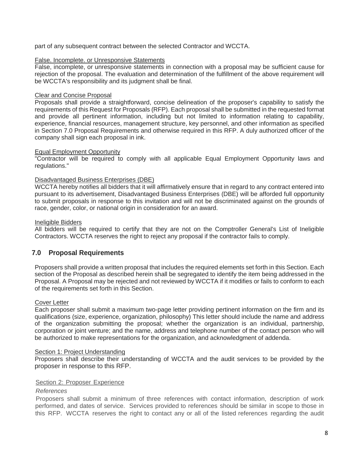part of any subsequent contract between the selected Contractor and WCCTA.

## False. Incomplete. or Unresponsive Statements

False, incomplete, or unresponsive statements in connection with a proposal may be sufficient cause for rejection of the proposal. The evaluation and determination of the fulfillment of the above requirement will be WCCTA's responsibility and its judgment shall be final.

## Clear and Concise Proposal

Proposals shall provide a straightforward, concise delineation of the proposer's capability to satisfy the requirements of this Request for Proposals (RFP). Each proposal shall be submitted in the requested format and provide all pertinent information, including but not limited to information relating to capability, experience, financial resources, management structure, key personnel, and other information as specified in Section 7.0 Proposal Requirements and otherwise required in this RFP. A duly authorized officer of the company shall sign each proposal in ink.

## Equal Employment Opportunity

"Contractor will be required to comply with all applicable Equal Employment Opportunity laws and regulations."

## Disadvantaged Business Enterprises (DBE)

WCCTA hereby notifies all bidders that it will affirmatively ensure that in regard to any contract entered into pursuant to its advertisement, Disadvantaged Business Enterprises (DBE) will be afforded full opportunity to submit proposals in response to this invitation and will not be discriminated against on the grounds of race, gender, color, or national origin in consideration for an award.

## Ineligible Bidders

All bidders will be required to certify that they are not on the Comptroller General's List of Ineligible Contractors. WCCTA reserves the right to reject any proposal if the contractor fails to comply.

# **7.0 Proposal Requirements**

Proposers shall provide a written proposal that includes the required elements set forth in this Section. Each section of the Proposal as described herein shall be segregated to identify the item being addressed in the Proposal. A Proposal may be rejected and not reviewed by WCCTA if it modifies or fails to conform to each of the requirements set forth in this Section.

### Cover Letter

Each proposer shall submit a maximum two-page letter providing pertinent information on the firm and its qualifications (size, experience, organization, philosophy) This letter should include the name and address of the organization submitting the proposal; whether the organization is an individual, partnership, corporation or joint venture; and the name, address and telephone number of the contact person who will be authorized to make representations for the organization, and acknowledgment of addenda.

### Section 1: Project Understanding

Proposers shall describe their understanding of WCCTA and the audit services to be provided by the proposer in response to this RFP.

### Section 2: Proposer Experience

## *References*

Proposers shall submit a minimum of three references with contact information, description of work performed, and dates of service. Services provided to references should be similar in scope to those in this RFP. WCCTA reserves the right to contact any or all of the listed references regarding the audit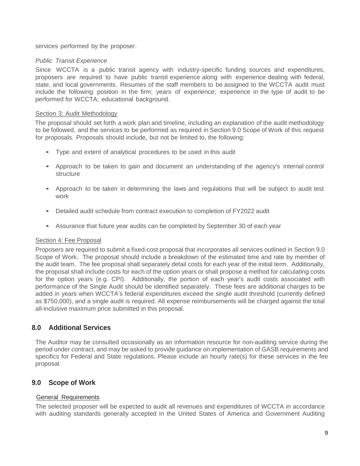services performed by the proposer.

### *Public Transit Experience*

Since WCCTA is a public transit agency with industry-specific funding sources and expenditures, proposers are required to have public transit experience along with experience dealing with federal, state, and local governments. Resumes of the staff members to be assigned to the WCCTA audit must include the following: position in the firm; years of experience; experience in the type of audit to be performed for WCCTA; educational background.

### Section 3: Audit Methodology

The proposal should set forth a work plan and timeline, including an explanation of the audit methodology to be followed, and the services to be performed as required in Section 9.0 Scope of Work of this request for proposals. Proposals should include, but not be limited to, the following:

- Type and extent of analytical procedures to be used in this audit
- Approach to be taken to gain and document an understanding of the agency's internal control structure
- Approach to be taken in determining the laws and regulations that will be subject to audit test work
- Detailed audit schedule from contract execution to completion of FY2022 audit
- Assurance that future year audits can be completed by September 30 of each year

### Section 4: Fee Proposal

Proposers are required to submit a fixed-cost proposal that incorporates all services outlined in Section 9.0 Scope of Work. The proposal should include a breakdown of the estimated time and rate by member of the audit team. The fee proposal shall separately detail costs for each year of the initial term. Additionally, the proposal shall include costs for each of the option years or shall propose a method for calculating costs for the option years (e.g. CPI). Additionally, the portion of each year's audit costs associated with performance of the Single Audit should be identified separately. These fees are additional charges to be added in years when WCCTA's federal expenditures exceed the single audit threshold (currently defined as \$750,000), and a single audit is required. All expense reimbursements will be charged against the total all-inclusive maximum price submitted in this proposal.

# **8.0 Additional Services**

The Auditor may be consulted occasionally as an information resource for non-auditing service during the period under contract, and may be asked to provide guidance on implementation of GASB requirements and specifics for Federal and State regulations. Please include an hourly rate(s) for these services in the fee proposal.

# **9.0 Scope of Work**

## General Requirements

The selected proposer will be expected to audit all revenues and expenditures of WCCTA in accordance with auditing standards generally accepted in the United States of America and Government Auditing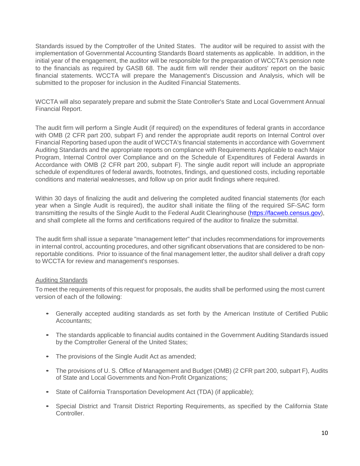Standards issued by the Comptroller of the United States. The auditor will be required to assist with the implementation of Governmental Accounting Standards Board statements as applicable. In addition, in the initial year of the engagement, the auditor will be responsible for the preparation of WCCTA's pension note to the financials as required by GASB 68. The audit firm will render their auditors' report on the basic financial statements. WCCTA will prepare the Management's Discussion and Analysis, which will be submitted to the proposer for inclusion in the Audited Financial Statements.

WCCTA will also separately prepare and submit the State Controller's State and Local Government Annual Financial Report.

The audit firm will perform a Single Audit (if required) on the expenditures of federal grants in accordance with OMB (2 CFR part 200, subpart F) and render the appropriate audit reports on Internal Control over Financial Reporting based upon the audit of WCCTA's financial statements in accordance with Government Auditing Standards and the appropriate reports on compliance with Requirements Applicable to each Major Program, Internal Control over Compliance and on the Schedule of Expenditures of Federal Awards in Accordance with OMB (2 CFR part 200, subpart F). The single audit report will include an appropriate schedule of expenditures of federal awards, footnotes, findings, and questioned costs, including reportable conditions and material weaknesses, and follow up on prior audit findings where required.

Within 30 days of finalizing the audit and delivering the completed audited financial statements (for each year when a Single Audit is required), the auditor shall initiate the filing of the required SF-SAC form transmitting the results of the Single Audit to the Federal Audit Clearinghouse (https://facweb.census.gov), and shall complete all the forms and certifications required of the auditor to finalize the submittal.

The audit firm shall issue a separate "management letter" that includes recommendations for improvements in internal control, accounting procedures, and other significant observations that are considered to be nonreportable conditions. Prior to issuance of the final management letter, the auditor shall deliver a draft copy to WCCTA for review and management's responses.

### Auditing Standards

To meet the requirements of this request for proposals, the audits shall be performed using the most current version of each of the following:

- Generally accepted auditing standards as set forth by the American Institute of Certified Public Accountants;
- The standards applicable to financial audits contained in the Government Auditing Standards issued by the Comptroller General of the United States;
- The provisions of the Single Audit Act as amended;
- The provisions of U.S. Office of Management and Budget (OMB) (2 CFR part 200, subpart F), Audits of State and Local Governments and Non-Profit Organizations;
- State of California Transportation Development Act (TDA) (if applicable);
- Special District and Transit District Reporting Requirements, as specified by the California State Controller.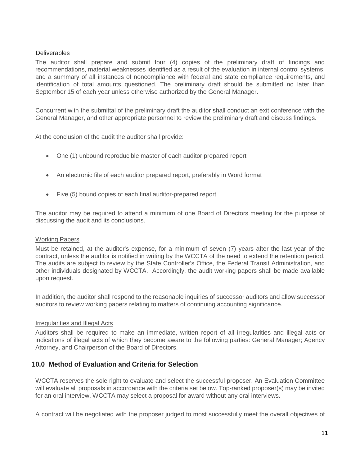## **Deliverables**

The auditor shall prepare and submit four (4) copies of the preliminary draft of findings and recommendations, material weaknesses identified as a result of the evaluation in internal control systems, and a summary of all instances of noncompliance with federal and state compliance requirements, and identification of total amounts questioned. The preliminary draft should be submitted no later than September 15 of each year unless otherwise authorized by the General Manager.

Concurrent with the submittal of the preliminary draft the auditor shall conduct an exit conference with the General Manager, and other appropriate personnel to review the preliminary draft and discuss findings.

At the conclusion of the audit the auditor shall provide:

- One (1) unbound reproducible master of each auditor prepared report
- An electronic file of each auditor prepared report, preferably in Word format
- Five (5) bound copies of each final auditor-prepared report

The auditor may be required to attend a minimum of one Board of Directors meeting for the purpose of discussing the audit and its conclusions.

### Working Papers

Must be retained, at the auditor's expense, for a minimum of seven (7) years after the last year of the contract, unless the auditor is notified in writing by the WCCTA of the need to extend the retention period. The audits are subject to review by the State Controller's Office, the Federal Transit Administration, and other individuals designated by WCCTA. Accordingly, the audit working papers shall be made available upon request.

In addition, the auditor shall respond to the reasonable inquiries of successor auditors and allow successor auditors to review working papers relating to matters of continuing accounting significance.

### Irregularities and Illegal Acts

Auditors shall be required to make an immediate, written report of all irregularities and illegal acts or indications of illegal acts of which they become aware to the following parties: General Manager; Agency Attorney, and Chairperson of the Board of Directors.

# **10.0 Method of Evaluation and Criteria for Selection**

WCCTA reserves the sole right to evaluate and select the successful proposer. An Evaluation Committee will evaluate all proposals in accordance with the criteria set below. Top-ranked proposer(s) may be invited for an oral interview. WCCTA may select a proposal for award without any oral interviews.

A contract will be negotiated with the proposer judged to most successfully meet the overall objectives of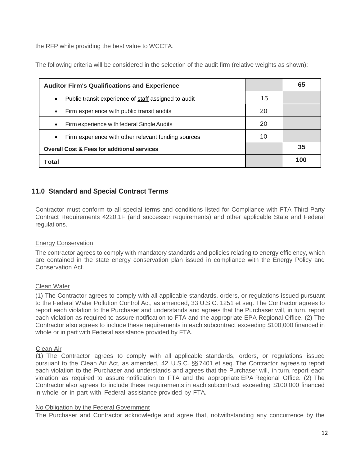the RFP while providing the best value to WCCTA.

The following criteria will be considered in the selection of the audit firm (relative weights as shown):

| <b>Auditor Firm's Qualifications and Experience</b>               |    | 65  |
|-------------------------------------------------------------------|----|-----|
| Public transit experience of staff assigned to audit<br>$\bullet$ | 15 |     |
| Firm experience with public transit audits<br>$\bullet$           | 20 |     |
| Firm experience with federal Single Audits<br>$\bullet$           | 20 |     |
| Firm experience with other relevant funding sources<br>$\bullet$  | 10 |     |
| <b>Overall Cost &amp; Fees for additional services</b>            |    | 35  |
| Total                                                             |    | 100 |

# **11.0 Standard and Special Contract Terms**

Contractor must conform to all special terms and conditions listed for Compliance with FTA Third Party Contract Requirements 4220.1F (and successor requirements) and other applicable State and Federal regulations.

## Energy Conservation

The contractor agrees to comply with mandatory standards and policies relating to energy efficiency, which are contained in the state energy conservation plan issued in compliance with the Energy Policy and Conservation Act.

### Clean Water

(1) The Contractor agrees to comply with all applicable standards, orders, or regulations issued pursuant to the Federal Water Pollution Control Act, as amended, 33 U.S.C. 1251 et seq. The Contractor agrees to report each violation to the Purchaser and understands and agrees that the Purchaser will, in turn, report each violation as required to assure notification to FTA and the appropriate EPA Regional Office. (2) The Contractor also agrees to include these requirements in each subcontract exceeding \$100,000 financed in whole or in part with Federal assistance provided by FTA.

### Clean Air

(1) The Contractor agrees to comply with all applicable standards, orders, or regulations issued pursuant to the Clean Air Act, as amended, 42 U.S.C. §§ 7401 et seq. The Contractor agrees to report each violation to the Purchaser and understands and agrees that the Purchaser will, in turn, report each violation as required to assure notification to FTA and the appropriate EPA Regional Office. (2) The Contractor also agrees to include these requirements in each subcontract exceeding \$100,000 financed in whole or in part with Federal assistance provided by FTA.

### No Obligation by the Federal Government

The Purchaser and Contractor acknowledge and agree that, notwithstanding any concurrence by the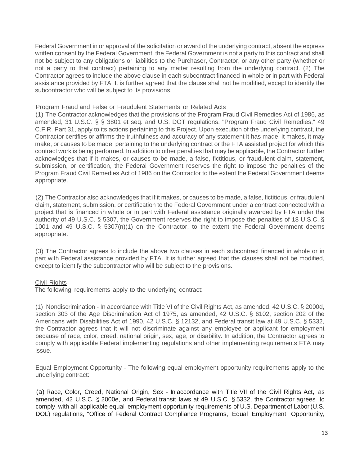Federal Government in or approval of the solicitation or award of the underlying contract, absent the express written consent by the Federal Government, the Federal Government is not a party to this contract and shall not be subject to any obligations or liabilities to the Purchaser, Contractor, or any other party (whether or not a party to that contract) pertaining to any matter resulting from the underlying contract. (2) The Contractor agrees to include the above clause in each subcontract financed in whole or in part with Federal assistance provided by FTA. It is further agreed that the clause shall not be modified, except to identify the subcontractor who will be subject to its provisions.

## Program Fraud and False or Fraudulent Statements or Related Acts

(1) The Contractor acknowledges that the provisions of the Program Fraud Civil Remedies Act of 1986, as amended, 31 U.S.C. § § 3801 et seq. and U.S. DOT regulations, "Program Fraud Civil Remedies," 49 C.F.R. Part 31, apply to its actions pertaining to this Project. Upon execution of the underlying contract, the Contractor certifies or affirms the truthfulness and accuracy of any statement it has made, it makes, it may make, or causes to be made, pertaining to the underlying contract or the FTA assisted project for which this contract work is being performed. In addition to other penalties that may be applicable, the Contractor further acknowledges that if it makes, or causes to be made, a false, fictitious, or fraudulent claim, statement, submission, or certification, the Federal Government reserves the right to impose the penalties of the Program Fraud Civil Remedies Act of 1986 on the Contractor to the extent the Federal Government deems appropriate.

(2) The Contractor also acknowledges that if it makes, or causes to be made, a false, fictitious, or fraudulent claim, statement, submission, or certification to the Federal Government under a contract connected with a project that is financed in whole or in part with Federal assistance originally awarded by FTA under the authority of 49 U.S.C. § 5307, the Government reserves the right to impose the penalties of 18 U.S.C. § 1001 and 49 U.S.C. § 5307(n)(1) on the Contractor, to the extent the Federal Government deems appropriate.

(3) The Contractor agrees to include the above two clauses in each subcontract financed in whole or in part with Federal assistance provided by FTA. It is further agreed that the clauses shall not be modified, except to identify the subcontractor who will be subject to the provisions.

## Civil Rights

The following requirements apply to the underlying contract:

(1) Nondiscrimination - In accordance with Title VI of the Civil Rights Act, as amended, 42 U.S.C. § 2000d, section 303 of the Age Discrimination Act of 1975, as amended, 42 U.S.C. § 6102, section 202 of the Americans with Disabilities Act of 1990, 42 U.S.C. § 12132, and Federal transit law at 49 U.S.C. § 5332, the Contractor agrees that it will not discriminate against any employee or applicant for employment because of race, color, creed, national origin, sex, age, or disability. In addition, the Contractor agrees to comply with applicable Federal implementing regulations and other implementing requirements FTA may issue.

Equal Employment Opportunity - The following equal employment opportunity requirements apply to the underlying contract:

(a) Race, Color, Creed, National Origin, Sex - In accordance with Title VII of the Civil Rights Act, as amended, 42 U.S.C. § 2000e, and Federal transit laws at 49 U.S.C. § 5332, the Contractor agrees to comply with all applicable equal employment opportunity requirements of U.S. Department of Labor (U.S. DOL) regulations, "Office of Federal Contract Compliance Programs, Equal Employment Opportunity,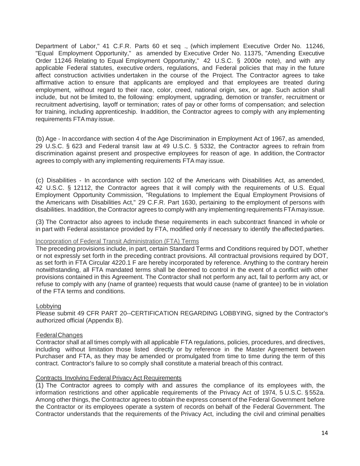Department of Labor," 41 C.F.R. Parts 60 et seq ., (which implement Executive Order No. 11246, "Equal Employment Opportunity," as amended by Executive Order No. 11375, "Amending Executive Order 11246 Relating to Equal Employment Opportunity," 42 U.S.C. § 2000e note), and with any applicable Federal statutes, executive orders, regulations, and Federal policies that may in the future affect construction activities undertaken in the course of the Project. The Contractor agrees to take affirmative action to ensure that applicants are employed and that employees are treated during employment, without regard to their race, color, creed, national origin, sex, or age. Such action shall include, but not be limited to, the following: employment, upgrading, demotion or transfer, recruitment or recruitment advertising, layoff or termination; rates of pay or other forms of compensation; and selection for training, including apprenticeship. Inaddition, the Contractor agrees to comply with any implementing requirements FTA may issue.

(b) Age - In accordance with section 4 of the Age Discrimination in Employment Act of 1967, as amended, 29 U.S.C. § 623 and Federal transit law at 49 U.S.C. § 5332, the Contractor agrees to refrain from discrimination against present and prospective employees for reason of age. In addition, the Contractor agrees to comply with any implementing requirements FTA may issue.

(c) Disabilities - In accordance with section 102 of the Americans with Disabilities Act, as amended, 42 U.S.C. § 12112, the Contractor agrees that it will comply with the requirements of U.S. Equal Employment Opportunity Commission, "Regulations to Implement the Equal Employment Provisions of the Americans with Disabilities Act," 29 C.F.R. Part 1630, pertaining to the employment of persons with disabilities. Inaddition, the Contractor agrees to comply with any implementing requirements FTAmayissue.

(3) The Contractor also agrees to include these requirements in each subcontract financed in whole or in part with Federal assistance provided by FTA, modified only if necessary to identify theaffected parties.

### Incorporation of Federal Transit Administration (FTA) Terms

The preceding provisions include, in part, certain Standard Terms and Conditions required by DOT, whether or not expressly set forth in the preceding contract provisions. All contractual provisions required by DOT, as set forth in FTA Circular 4220.1 F are hereby incorporated by reference. Anything to the contrary herein notwithstanding, all FTA mandated terms shall be deemed to control in the event of a conflict with other provisions contained in this Agreement. The Contractor shall not perform any act, fail to perform any act, or refuse to comply with any (name of grantee) requests that would cause (name of grantee) to be in violation of the FTA terms and conditions.

### Lobbying

Please submit 49 CFR PART 20--CERTIFICATION REGARDING LOBBYING, signed by the Contractor's authorized official (Appendix B).

### FederalChanges

Contractor shall at all times comply with all applicable FTA regulations, policies, procedures, and directives, including without limitation those listed directly or by reference in the Master Agreement between Purchaser and FTA, as they may be amended or promulgated from time to time during the term of this contract. Contractor's failure to so comply shall constitute a material breach of this contract.

### Contracts Involving Federal Privacy Act Requirements

(1) The Contractor agrees to comply with and assures the compliance of its employees with, the information restrictions and other applicable requirements of the Privacy Act of 1974, 5 U.S.C. § 552a. Among other things, the Contractor agrees to obtain the express consent of the Federal Government before the Contractor or its employees operate a system of records on behalf of the Federal Government. The Contractor understands that the requirements of the Privacy Act, including the civil and criminal penalties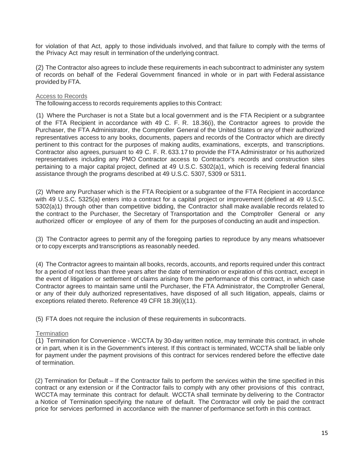for violation of that Act, apply to those individuals involved, and that failure to comply with the terms of the Privacy Act may result in termination of the underlying contract.

(2) The Contractor also agrees to include these requirements in each subcontract to administer any system of records on behalf of the Federal Government financed in whole or in part with Federal assistance provided by FTA.

### Access to Records

The following access to records requirements applies to this Contract:

(1) Where the Purchaser is not a State but a local government and is the FTA Recipient or a subgrantee of the FTA Recipient in accordance with 49 C. F. R. 18.36(i), the Contractor agrees to provide the Purchaser, the FTA Administrator, the Comptroller General of the United States or any of their authorized representatives access to any books, documents, papers and records of the Contractor which are directly pertinent to this contract for the purposes of making audits, examinations, excerpts, and transcriptions. Contractor also agrees, pursuant to 49 C. F. R. 633.17 to provide the FTA Administrator or his authorized representatives including any PMO Contractor access to Contractor's records and construction sites pertaining to a major capital project, defined at 49 U.S.C. 5302(a)1, which is receiving federal financial assistance through the programs described at 49 U.S.C. 5307, 5309 or 5311.

(2) Where any Purchaser which is the FTA Recipient or a subgrantee of the FTA Recipient in accordance with 49 U.S.C. 5325(a) enters into a contract for a capital project or improvement (defined at 49 U.S.C. 5302(a)1) through other than competitive bidding, the Contractor shall make available records related to the contract to the Purchaser, the Secretary of Transportation and the Comptroller General or any authorized officer or employee of any of them for the purposes of conducting an audit and inspection.

(3) The Contractor agrees to permit any of the foregoing parties to reproduce by any means whatsoever or to copy excerpts and transcriptions as reasonably needed.

(4) The Contractor agrees to maintain all books, records, accounts, and reports required under this contract for a period of not less than three years after the date of termination or expiration of this contract, except in the event of litigation or settlement of claims arising from the performance of this contract, in which case Contractor agrees to maintain same until the Purchaser, the FTA Administrator, the Comptroller General, or any of their duly authorized representatives, have disposed of all such litigation, appeals, claims or exceptions related thereto. Reference 49 CFR 18.39(i)(11).

(5) FTA does not require the inclusion of these requirements in subcontracts.

### **Termination**

(1) Termination for Convenience - WCCTA by 30-day written notice, may terminate this contract, in whole or in part, when it is in the Government's interest. If this contract is terminated, WCCTA shall be liable only for payment under the payment provisions of this contract for services rendered before the effective date of termination.

(2) Termination for Default – If the Contractor fails to perform the services within the time specified in this contract or any extension or if the Contractor fails to comply with any other provisions of this contract, WCCTA may terminate this contract for default. WCCTA shall terminate by delivering to the Contractor a Notice of Termination specifying the nature of default. The Contractor will only be paid the contract price for services performed in accordance with the manner of performance set forth in this contract.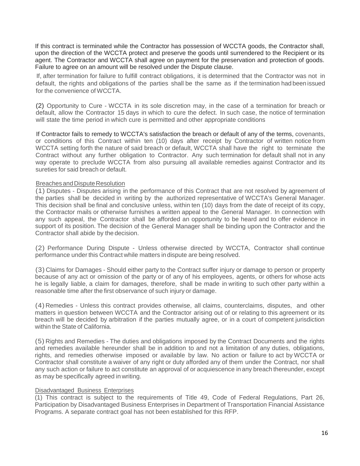If this contract is terminated while the Contractor has possession of WCCTA goods, the Contractor shall, upon the direction of the WCCTA protect and preserve the goods until surrendered to the Recipient or its agent. The Contractor and WCCTA shall agree on payment for the preservation and protection of goods. Failure to agree on an amount will be resolved under the Dispute clause.

If, after termination for failure to fulfill contract obligations, it is determined that the Contractor was not in default, the rights and obligations of the parties shall be the same as if the termination had been issued for the convenience of WCCTA.

(2) Opportunity to Cure - WCCTA in its sole discretion may, in the case of a termination for breach or default, allow the Contractor 15 days in which to cure the defect. In such case, the notice of termination will state the time period in which cure is permitted and other appropriate conditions

If Contractor fails to remedy to WCCTA's satisfaction the breach or default of any of the terms, covenants, or conditions of this Contract within ten (10) days after receipt by Contractor of written notice from WCCTA setting forth the nature of said breach or default, WCCTA shall have the right to terminate the Contract without any further obligation to Contractor. Any such termination for default shall not in any way operate to preclude WCCTA from also pursuing all available remedies against Contractor and its sureties for said breach or default.

### Breaches and Dispute Resolution

(1) Disputes - Disputes arising in the performance of this Contract that are not resolved by agreement of the parties shall be decided in writing by the authorized representative of WCCTA's General Manager. This decision shall be final and conclusive unless, within ten (10) days from the date of receipt of its copy, the Contractor mails or otherwise furnishes a written appeal to the General Manager. In connection with any such appeal, the Contractor shall be afforded an opportunity to be heard and to offer evidence in support of its position. The decision of the General Manager shall be binding upon the Contractor and the Contractor shall abide by the decision.

(2) Performance During Dispute - Unless otherwise directed by WCCTA, Contractor shall continue performance under this Contract while matters in dispute are being resolved.

(3) Claims for Damages - Should either party to the Contract suffer injury or damage to person or property because of any act or omission of the party or of any of his employees, agents, or others for whose acts he is legally liable, a claim for damages, therefore, shall be made in writing to such other party within a reasonable time after the first observance of such injury or damage.

(4) Remedies - Unless this contract provides otherwise, all claims, counterclaims, disputes, and other matters in question between WCCTA and the Contractor arising out of or relating to this agreement or its breach will be decided by arbitration if the parties mutually agree, or in a court of competent jurisdiction within the State of California.

(5) Rights and Remedies - The duties and obligations imposed by the Contract Documents and the rights and remedies available hereunder shall be in addition to and not a limitation of any duties, obligations, rights, and remedies otherwise imposed or available by law. No action or failure to act by WCCTA or Contractor shall constitute a waiver of any right or duty afforded any of them under the Contract, nor shall any such action or failure to act constitute an approval of or acquiescence in any breach thereunder, except as may be specifically agreed in writing.

#### Disadvantaged Business Enterprises

(1) This contract is subject to the requirements of Title 49, Code of Federal Regulations, Part 26, Participation by Disadvantaged Business Enterprises in Department of Transportation Financial Assistance Programs. A separate contract goal has not been established for this RFP.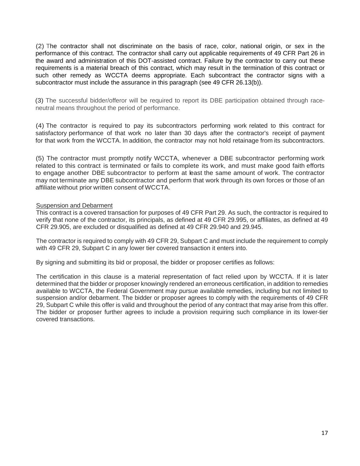(2) The contractor shall not discriminate on the basis of race, color, national origin, or sex in the performance of this contract. The contractor shall carry out applicable requirements of 49 CFR Part 26 in the award and administration of this DOT-assisted contract. Failure by the contractor to carry out these requirements is a material breach of this contract, which may result in the termination of this contract or such other remedy as WCCTA deems appropriate. Each subcontract the contractor signs with a subcontractor must include the assurance in this paragraph (see 49 CFR 26.13(b)).

(3) The successful bidder/offeror will be required to report its DBE participation obtained through raceneutral means throughout the period of performance.

(4) The contractor is required to pay its subcontractors performing work related to this contract for satisfactory performance of that work no later than 30 days after the contractor's receipt of payment for that work from the WCCTA. In addition, the contractor may not hold retainage from its subcontractors.

(5) The contractor must promptly notify WCCTA, whenever a DBE subcontractor performing work related to this contract is terminated or fails to complete its work, and must make good faith efforts to engage another DBE subcontractor to perform at least the same amount of work. The contractor may not terminate any DBE subcontractor and perform that work through its own forces or those of an affiliate without prior written consent of WCCTA.

### Suspension and Debarment

This contract is a covered transaction for purposes of 49 CFR Part 29. As such, the contractor is required to verify that none of the contractor, its principals, as defined at 49 CFR 29.995, or affiliates, as defined at 49 CFR 29.905, are excluded or disqualified as defined at 49 CFR 29.940 and 29.945.

The contractor is required to comply with 49 CFR 29, Subpart C and must include the requirement to comply with 49 CFR 29, Subpart C in any lower tier covered transaction it enters into.

By signing and submitting its bid or proposal, the bidder or proposer certifies as follows:

The certification in this clause is a material representation of fact relied upon by WCCTA. If it is later determined that the bidder or proposer knowingly rendered an erroneous certification, in addition to remedies available to WCCTA, the Federal Government may pursue available remedies, including but not limited to suspension and/or debarment. The bidder or proposer agrees to comply with the requirements of 49 CFR 29, Subpart C while this offer is valid and throughout the period of any contract that may arise from this offer. The bidder or proposer further agrees to include a provision requiring such compliance in its lower-tier covered transactions.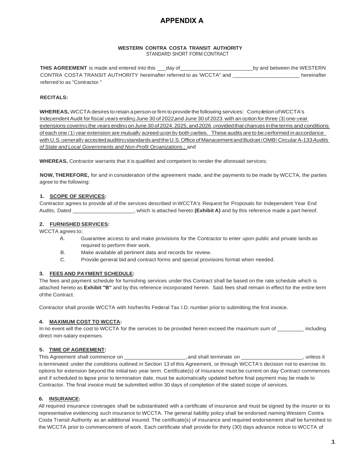# **APPENDIX A**

#### **WESTERN CONTRA COSTA TRANSIT AUTHORITY** STANDARD SHORT FORM CONTRACT

**THIS AGREEMENT** is made and entered into this \_\_\_day of \_\_\_\_\_\_\_\_\_\_\_\_\_\_\_\_\_\_\_\_\_\_\_\_\_ by and between the WESTERN CONTRA COSTA TRANSIT AUTHORITY hereinafter referred to as 'WCCTA" and \_\_\_\_\_\_\_\_\_\_\_\_\_\_\_\_\_\_\_\_\_\_\_ hereinafter referred to as "Contractor."

#### **RECITALS:**

**WHEREAS,** WCCTA desires to retain a personorfirm to provide the following services: Completion ofWCCTA's Independent Audit for fiscal years ending June 30 of 2022,and June 30 of 2023. with an option for three (3) one-year extensions covering the years ending onJune 30 of 2024, 2025, and 2026. providedthat changes inthe terms and conditions of each one (1) year extension are mutually agreed upon by both parties. These audits are to be performed in accordance with U.S.generally acceptedauditing standards andtheU.S.OfficeofManagementandBudget(OMB) Circular A-133*Audits of State and Local Governments and Non-Profit Organizations.;* and

**WHEREAS,** Contractor warrants that it is qualified and competent to render the aforesaid services;

**NOW, THEREFORE,** for and in consideration of the agreement made, and the payments to be made by WCCTA, the parties agree to the following:

#### **1. SCOPE OF SERVICES:**

Contractor agrees to provide all of the services described in WCCTA's Request for Proposals for Independent Year End Audits, Dated \_\_\_\_\_\_\_\_\_\_\_\_\_\_\_\_\_\_\_\_\_, which is attached hereto **(Exhibit A)** and by this reference made a part hereof.

#### **2. FURNISHED SERVICES:**

WCCTA agrees to:

- A. Guarantee access to and make provisions for the Contractor to enter upon public and private lands as required to perform their work.
- B. Make available all pertinent data and records for review.
- C. Provide general bid and contract forms and special provisions format when needed.

#### **3. FEES AND PAYMENT SCHEDULE:**

The fees and payment schedule for furnishing services under this Contract shall be based on the rate schedule which is attached hereto as **Exhibit "B"** and by this reference incorporated herein. Said.fees shall remain in effect for the entire term of the Contract.

Contractor shall provide WCCTA with his/her/its Federal Tax l.D. number prior to submitting the first invoice.

#### **4. MAXIMUM COST TO WCCTA:**

In no event will the cost to WCCTA for the services to be provided herein exceed the maximum sum of \_\_\_\_\_\_\_\_ including direct non-salary expenses.

#### **5. TIME OF AGREEMENT:**

This Agreement shall commence on \_\_\_\_\_\_\_\_\_\_\_\_\_\_\_\_\_\_\_\_, and shall terminate on \_\_\_\_\_\_\_\_\_\_\_\_\_\_\_\_\_\_\_\_\_\_, unless it is terminated under the conditions outlined in Section 13 of this Agreement, or through WCCTA's decision not to exercise its options for extension beyond the initial two year term. Certificate(s) of Insurance must be current on day Contract commences and if scheduled to lapse prior to termination date, must be automatically updated before final payment may be made to Contractor. The final invoice must be submitted within 30 days of completion of the stated scope of services.

#### **6. INSURANCE:**

All required insurance coverages shall be substantiated with a certificate of insurance and must be signed by the insurer or its representative evidencing such insurance to WCCTA. The general liability policy shall be endorsed naming Western Contra Costa Transit Authority as an additional insured. The certificate(s) of insurance and required endorsement shall be furnished to the WCCTA prior to commencement of work. Each certificate shall provide for thirty (30) days advance notice to WCCTA of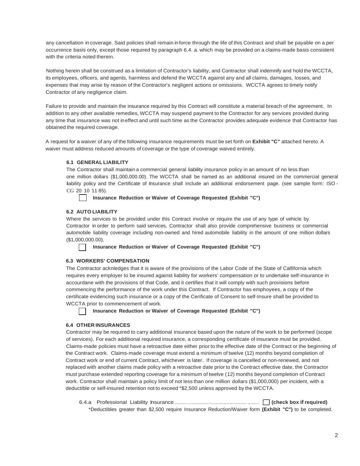any cancellation in coverage. Said policies shall remain in force through the life of this Contract and shall be payable on a per occurrence basis only, except those required by paragraph 6.4. a. which may be provided on a claims-made basis consistent with the criteria noted therein.

Nothing herein shall be construed as a limitation of Contractor's liability, and Contractor shall indemnify and hold the WCCTA, its employees, officers, and agents, harmless and defend the WCCTA against any and all claims, damages, losses, and expenses that may arise by reason of the Contractor's negligent actions or omissions. WCCTA agrees to timely notify Contractor of any negligence claim.

Failure to provide and maintain the insurance required by this Contract will constitute a material breach of the agreement. In addition to any other available remedies, WCCTA may suspend payment to the Contractor for any services provided during any time that insurance was not in effect and until such time as the Contractor provides adequate evidence that Contractor has obtained the required coverage.

A request for a waiver of any of the following insurance requirements must be set forth on **Exhibit "C"** attached hereto. A waiver must address reduced amounts of coverage or the type of coverage waived entirely.

#### **6.1 GENERAL LIABILITY**

The Contractor shall maintain a commercial general liability insurance policy in an amount of no less than one million dollars (\$1,000,000.00). The WCCTA shall be named as an additional insured on the commercial general liability policy and the Certificate of Insurance shall include an additional endorsement page. (see sample form: ISO -CG 20 10 11 85).

**Insurance Reduction or Waiver of Coverage Requested (Exhibit "C")**

#### **6.2 AUTO LIABILITY**

Where the services to be provided under this Contract involve or require the use of any type of vehicle by Contractor in order to perform said services, Contractor shall also provide comprehensive business or commercial automobile liability coverage including non-owned and hired automobile liability in the amount of one million dollars (\$1,000,000.00).

**Insurance Reduction or Waiver of Coverage Requested (Exhibit "C")**

#### **6.3 WORKERS' COMPENSATION**

The Contractor acknledges that it is aware of the provisions of the Labor Code of the State of Calfifornia which requires every employer to be insured against liability for workers' compensation or to undertake self-insurance in accourdane with the provisions of that Code, and it certifies that it will comply with such provisions before commencing the performance of the work under this Contract. If Contractor has emphoyees, a copy of the certificate evidencing such insurance or a copy of the Cerificate of Consent to self-Insure shall be provided to WCCTA prior to commencement of work.

**Insurance Reduction or Waiver of Coverage Requested (Exhibit "C")**

#### **6.4 OTHER INSURANCES**

Contractor may be required to carry additional insurance based upon the nature of the work to be performed (scope of services). For each additional required insurance, a corresponding certificate of insurance must be provided. Claims-made policies must have a retroactive date either prior to the effective date of the Contract or the beginning of the Contract work. Claims-made coverage must extend a minimum of twelve (12) months beyond completion of Contract work or end of current Contract, whichever is later. If coverage is cancelled or non-renewed, and not replaced with another claims made policy with a retroactive date prior to the Contract effective date, the Contractor must purchase extended reporting coverage for a minimum of twelve (12) months beyond completion of Contract work. Contractor shall maintain a policy limit of not less than one million dollars (\$1,000,000) per incident, with a deductible or self-insured retention not to exceed \*\$2,500 unless approved by the WCCTA.

|  |  |  | *Deductibles greater than \$2,500 require Insurance Reduction/Waiver form (Exhibit "C") to be completed. |  |  |
|--|--|--|----------------------------------------------------------------------------------------------------------|--|--|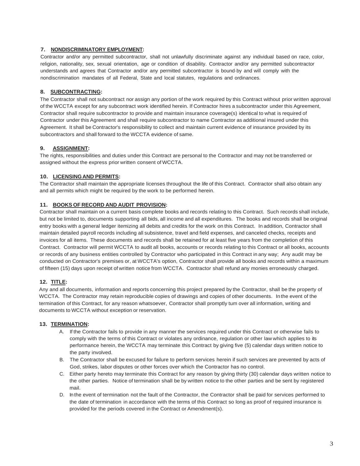#### **7. NONDISCRIMINATORY EMPLOYMENT:**

Contractor and/or any permitted subcontractor, shall not unlawfully discriminate against any individual based on race, color, religion, nationality, sex, sexual orientation, age or condition of disability. Contractor and/or any permitted subcontractor understands and agrees that Contractor and/or any permitted subcontractor is bound·by and will comply with the nondiscrimination mandates of all Federal, State and local statutes, regulations and ordinances.

#### **8. SUBCONTRACTING:**

The Contractor shall not subcontract nor assign any portion of the work required by this Contract without prior written approval of the WCCTA except for any subcontract work identified herein. If Contractor hires a subcontractor under this Agreement, Contractor shall require subcontractor to provide and maintain insurance coverage(s) identical to what is required of Contractor under this Agreement and shall require subcontractor to name Contractor as additional insured under this Agreement. It shall be Contractor's responsibility to collect and maintain current evidence of insurance provided by its subcontractors and shall forward to the WCCTA evidence of same.

#### **9. ASSIGNMENT:**

The rights, responsibilities and duties under this Contract are personal to the Contractor and may not be transferred or assigned without the express prior written consent of WCCTA.

#### **10. LICENSINGAND PERMITS:**

The Contractor shall maintain the appropriate licenses throughout the life of this Contract. Contractor shall also obtain any and all permits which might be required by the work to be performed herein.

#### **11. BOOKS OF RECORD AND AUDIT PROVISION:**

Contractor shall maintain on a current basis complete books and records relating to this Contract. Such records shall include, but not be limited to, documents supporting all bids, all income and all expenditures. The books and records shall be original entry books with a general ledger itemizing all debits and credits for the work on this Contract. In addition, Contractor shall maintain detailed payroll records including all subsistence, travel and field expenses, and canceled checks, receipts and invoices for all items. These documents and records shall be retained for at least five years from the completion of this Contract. Contractor will permit WCCTA to audit all books, accounts or records relating to this Contract or all books, accounts or records of any business entities controlled by Contractor who participated in this Contract in any way; Any audit may be conducted on Contractor's premises or, at WCCTA's option, Contractor shall provide all books and records within a maximum of fifteen (15) days upon receipt of written notice from WCCTA. Contractor shall refund any monies erroneously charged.

### **12. TITLE:**

Any and all documents, information and reports concerning this project prepared by the Contractor, shall be the property of WCCTA. The Contractor may retain reproducible copies of drawings and copies of other documents. In the event of the termination of this Contract, for any reason whatsoever, Contractor shall promptly tum over all information, writing and documents to WCCTA without exception or reservation.

#### **13. TERMINATION:**

- A. If the Contractor fails to provide in any manner the services required under this Contract or otherwise fails to comply with the terms of this Contract or violates any ordinance, regulation or other law which applies to its performance herein, the WCCTA may terminate this Contract by giving five (5) calendar days written notice to the party involved.
- B. The Contractor shall be excused for failure to perform services herein if such services are prevented by acts of God, strikes, labor disputes or other forces over which the Contractor has no control.
- C. Either party hereto may terminate this Contract for any reason by giving thirty (30) calendar days written notice to the other parties. Notice of termination shall be by written notice to the other parties and be sent by registered mail.
- D. In the event of termination not the fault of the Contractor, the Contractor shall be paid for services performed to the date of termination in accordance with the terms of this Contract so long as proof of required insurance is provided for the periods covered in the Contract or Amendment(s).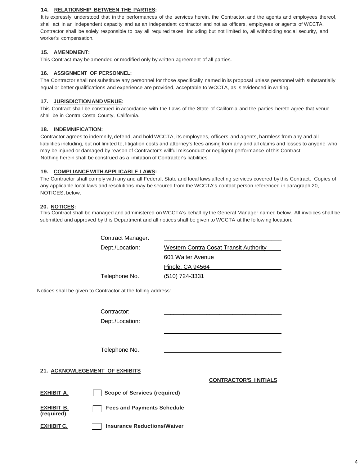#### **14. RELATIONSHIP BETWEEN THE PARTIES:**

It is expressly understood that in the performances of the services herein, the Contractor, and the agents and employees thereof, shall act in an independent capacity and as an independent contractor and not as officers, employees or agents of WCCTA. Contractor shall be solely responsible to pay all required taxes, including but not limited to, all withholding social security, and worker's compensation.

#### **15. AMENDMENT:**

This Contract may be amended or modified only by written agreement of all parties.

#### **16. ASSIGNMENT OF PERSONNEL:**

The Contractor shall not substitute any personnel for those specifically named in its proposal unless personnel with substantially equal or better qualifications and experience are provided, acceptable to WCCTA, as is evidenced in writing.

#### **17. JURISDICTIONANDVENUE:**

This Contract shall be construed in accordance with the Laws of the State of California and the parties hereto agree that venue shall be in Contra Costa County, California.

#### **18. INDEMNIFICATION:**

Contractor agrees to indemnify, defend, and hold WCCTA, its employees, officers, and agents, harmless from any and all liabilities including, but not limited to, litigation costs and attorney's fees arising from any and all claims and losses to anyone who may be injured or damaged by reason of Contractor's willful misconduct or negligent performance of this Contract. Nothing herein shall be construed as a limitation of Contractor's liabilities.

#### **19. COMPLIANCEWITH APPLICABLE LAWS:**

The Contractor shall comply with any and all Federal, State and local laws affecting services covered by this Contract. Copies of any applicable local laws and resolutions may be secured from the WCCTA's contact person referenced in paragraph 20, NOTICES, below.

#### **20. NOTICES:**

This Contract shall be managed and administered on WCCTA's behalf by the General Manager named below. All invoices shall be submitted and approved by this Department and all notices shall be given to WCCTA at the following location:

Contract Manager:

Dept./Location: Western Contra Cosat Transit Authority 601 Walter Avenue Pinole, CA 94564 Telephone No.: (510) 724-3331

Notices shall be given to Contractor at the folling address:

Contractor: Dept./Location:

Telephone No.:

#### **21. ACKNOWLEGEMENT OF EXHIBITS**

**CONTRACTOR'S I NITIALS**

**EXHIBIT A**. **Scope of Services (required)**

**(required)**

**EXHIBIT B. Fees and Payments Schedule** 

**EXHIBIT C. Insurance Reductions/Waiver**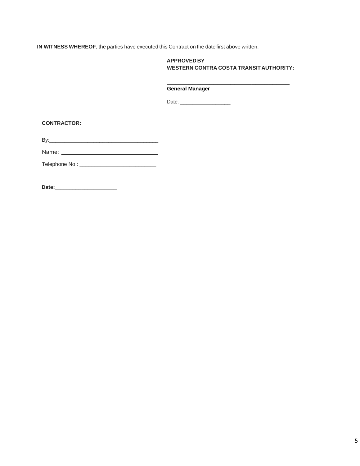**IN WITNESS WHEREOF**, the parties have executed this Contract on the date first above written.

#### **APPROVED BY WESTERN CONTRA COSTA TRANSIT AUTHORITY:**

#### \_\_\_\_\_\_\_\_\_\_\_\_\_\_\_\_\_\_\_\_\_\_\_\_\_\_\_\_\_ **General Manager**

Date: \_\_\_\_\_\_\_\_\_\_\_\_\_\_\_\_\_

**CONTRACTOR:**

By:\_\_\_\_\_\_\_\_\_\_\_\_\_\_\_\_\_\_\_\_\_\_\_\_\_\_\_\_\_\_\_\_\_\_\_\_\_

Name: \_\_\_\_\_\_\_\_\_\_\_\_\_

Telephone No.: \_\_\_\_\_\_\_\_\_\_\_\_\_\_\_\_\_\_\_\_\_\_\_\_\_\_

**Date:**\_\_\_\_\_\_\_\_\_\_\_\_\_\_\_\_\_\_\_\_\_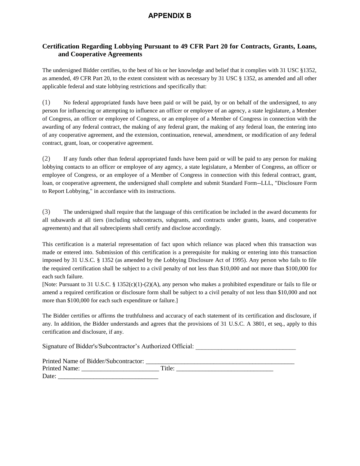# **APPENDIX B**

## **Certification Regarding Lobbying Pursuant to 49 CFR Part 20 for Contracts, Grants, Loans, and Cooperative Agreements**

The undersigned Bidder certifies, to the best of his or her knowledge and belief that it complies with 31 USC §1352, as amended, 49 CFR Part 20, to the extent consistent with as necessary by 31 USC § 1352, as amended and all other applicable federal and state lobbying restrictions and specifically that:

(1) No federal appropriated funds have been paid or will be paid, by or on behalf of the undersigned, to any person for influencing or attempting to influence an officer or employee of an agency, a state legislature, a Member of Congress, an officer or employee of Congress, or an employee of a Member of Congress in connection with the awarding of any federal contract, the making of any federal grant, the making of any federal loan, the entering into of any cooperative agreement, and the extension, continuation, renewal, amendment, or modification of any federal contract, grant, loan, or cooperative agreement.

(2) If any funds other than federal appropriated funds have been paid or will be paid to any person for making lobbying contacts to an officer or employee of any agency, a state legislature, a Member of Congress, an officer or employee of Congress, or an employee of a Member of Congress in connection with this federal contract, grant, loan, or cooperative agreement, the undersigned shall complete and submit Standard Form--LLL, "Disclosure Form to Report Lobbying," in accordance with its instructions.

(3) The undersigned shall require that the language of this certification be included in the award documents for all subawards at all tiers (including subcontracts, subgrants, and contracts under grants, loans, and cooperative agreements) and that all subrecipients shall certify and disclose accordingly.

This certification is a material representation of fact upon which reliance was placed when this transaction was made or entered into. Submission of this certification is a prerequisite for making or entering into this transaction imposed by 31 U.S.C. § 1352 (as amended by the Lobbying Disclosure Act of 1995). Any person who fails to file the required certification shall be subject to a civil penalty of not less than \$10,000 and not more than \$100,000 for each such failure.

[Note: Pursuant to 31 U.S.C. § 1352(c)(1)-(2)(A), any person who makes a prohibited expenditure or fails to file or amend a required certification or disclosure form shall be subject to a civil penalty of not less than \$10,000 and not more than \$100,000 for each such expenditure or failure.]

The Bidder certifies or affirms the truthfulness and accuracy of each statement of its certification and disclosure, if any. In addition, the Bidder understands and agrees that the provisions of 31 U.S.C. A 3801, et seq., apply to this certification and disclosure, if any.

Signature of Bidder's/Subcontractor's Authorized Official:

| Printed Name of Bidder/Subcontractor: |        |
|---------------------------------------|--------|
| Printed Name:                         | Title: |
| Date:                                 |        |